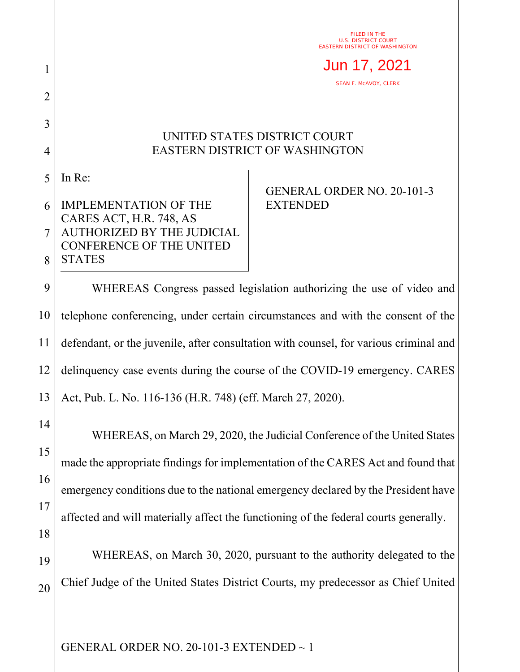FILED IN THE U.S. DISTRICT COURT EASTERN DISTRICT OF WASHINGTON

Jun 17, 2021

SEAN F. MCAVOY, CLERK

## UNITED STATES DISTRICT COURT EASTERN DISTRICT OF WASHINGTON

5 In Re:

1

2

3

4

## 6 7 8 IMPLEMENTATION OF THE CARES ACT, H.R. 748, AS AUTHORIZED BY THE JUDICIAL CONFERENCE OF THE UNITED **STATES**

## GENERAL ORDER NO. 20-101-3 EXTENDED

9 10 11 12 13 WHEREAS Congress passed legislation authorizing the use of video and telephone conferencing, under certain circumstances and with the consent of the defendant, or the juvenile, after consultation with counsel, for various criminal and delinquency case events during the course of the COVID-19 emergency. CARES Act, Pub. L. No. 116-136 (H.R. 748) (eff. March 27, 2020).

14 15 16 17 18 19 WHEREAS, on March 29, 2020, the Judicial Conference of the United States made the appropriate findings for implementation of the CARES Act and found that emergency conditions due to the national emergency declared by the President have affected and will materially affect the functioning of the federal courts generally. WHEREAS, on March 30, 2020, pursuant to the authority delegated to the

20 Chief Judge of the United States District Courts, my predecessor as Chief United

GENERAL ORDER NO. 20-101-3 EXTENDED ~ 1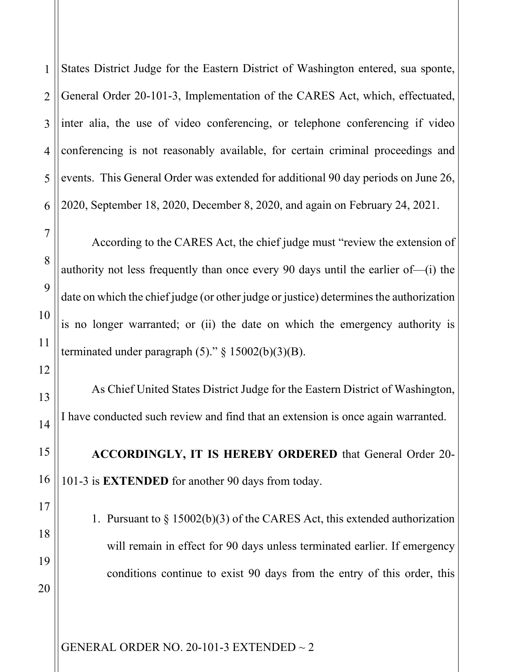1 2 3 4 States District Judge for the Eastern District of Washington entered, sua sponte, General Order 20-101-3, Implementation of the CARES Act, which, effectuated, inter alia, the use of video conferencing, or telephone conferencing if video conferencing is not reasonably available, for certain criminal proceedings and events. This General Order was extended for additional 90 day periods on June 26, 2020, September 18, 2020, December 8, 2020, and again on February 24, 2021.

According to the CARES Act, the chief judge must "review the extension of authority not less frequently than once every 90 days until the earlier of—(i) the date on which the chief judge (or other judge or justice) determines the authorization is no longer warranted; or (ii) the date on which the emergency authority is terminated under paragraph  $(5)$ ." § 15002(b)(3)(B).

As Chief United States District Judge for the Eastern District of Washington, I have conducted such review and find that an extension is once again warranted.

**ACCORDINGLY, IT IS HEREBY ORDERED** that General Order 20- 101-3 is **EXTENDED** for another 90 days from today.

1. Pursuant to § 15002(b)(3) of the CARES Act, this extended authorization will remain in effect for 90 days unless terminated earlier. If emergency conditions continue to exist 90 days from the entry of this order, this

GENERAL ORDER NO. 20-101-3 EXTENDED ~ 2